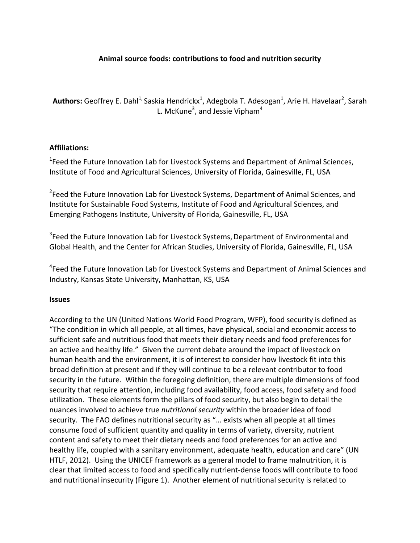## Animal source foods: contributions to food and nutrition security

**Authors:** Geoffrey E. Dahl<sup>1,</sup> Saskia Hendrickx<sup>1</sup>, Adegbola T. Adesogan<sup>1</sup>, Arie H. Havelaar<sup>2</sup>, Sarah L. McKune<sup>3</sup>, and Jessie Vipham<sup>4</sup>

#### **Affiliations:**

 $1$ Feed the Future Innovation Lab for Livestock Systems and Department of Animal Sciences, Institute of Food and Agricultural Sciences, University of Florida, Gainesville, FL, USA

 $2$ Feed the Future Innovation Lab for Livestock Systems, Department of Animal Sciences, and Institute for Sustainable Food Systems, Institute of Food and Agricultural Sciences, and Emerging Pathogens Institute, University of Florida, Gainesville, FL, USA

 $3$ Feed the Future Innovation Lab for Livestock Systems, Department of Environmental and Global Health, and the Center for African Studies, University of Florida, Gainesville, FL, USA

<sup>4</sup>Feed the Future Innovation Lab for Livestock Systems and Department of Animal Sciences and Industry, Kansas State University, Manhattan, KS, USA

#### **Issues**

According to the UN (United Nations World Food Program, WFP), food security is defined as "The condition in which all people, at all times, have physical, social and economic access to sufficient safe and nutritious food that meets their dietary needs and food preferences for an active and healthy life." Given the current debate around the impact of livestock on human health and the environment, it is of interest to consider how livestock fit into this broad definition at present and if they will continue to be a relevant contributor to food security in the future. Within the foregoing definition, there are multiple dimensions of food security that require attention, including food availability, food access, food safety and food utilization. These elements form the pillars of food security, but also begin to detail the nuances involved to achieve true *nutritional security* within the broader idea of food security. The FAO defines nutritional security as "... exists when all people at all times consume food of sufficient quantity and quality in terms of variety, diversity, nutrient content and safety to meet their dietary needs and food preferences for an active and healthy life, coupled with a sanitary environment, adequate health, education and care" (UN HTLF, 2012). Using the UNICEF framework as a general model to frame malnutrition, it is clear that limited access to food and specifically nutrient-dense foods will contribute to food and nutritional insecurity (Figure 1). Another element of nutritional security is related to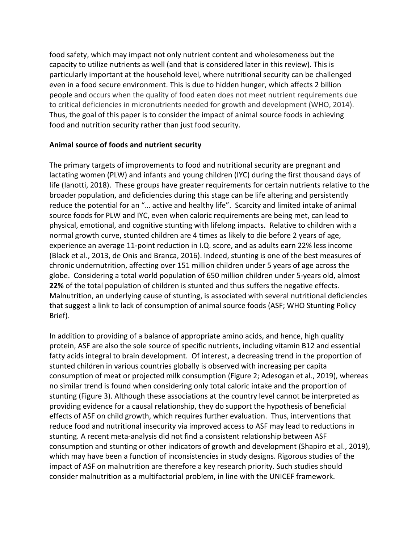food safety, which may impact not only nutrient content and wholesomeness but the capacity to utilize nutrients as well (and that is considered later in this review). This is particularly important at the household level, where nutritional security can be challenged even in a food secure environment. This is due to hidden hunger, which affects 2 billion people and occurs when the quality of food eaten does not meet nutrient requirements due to critical deficiencies in micronutrients needed for growth and development (WHO, 2014). Thus, the goal of this paper is to consider the impact of animal source foods in achieving food and nutrition security rather than just food security.

## Animal source of foods and nutrient security

The primary targets of improvements to food and nutritional security are pregnant and lactating women (PLW) and infants and young children (IYC) during the first thousand days of life (Ianotti, 2018). These groups have greater requirements for certain nutrients relative to the broader population, and deficiencies during this stage can be life altering and persistently reduce the potential for an "... active and healthy life". Scarcity and limited intake of animal source foods for PLW and IYC, even when caloric requirements are being met, can lead to physical, emotional, and cognitive stunting with lifelong impacts. Relative to children with a normal growth curve, stunted children are 4 times as likely to die before 2 years of age, experience an average 11-point reduction in I.Q. score, and as adults earn 22% less income (Black et al., 2013, de Onis and Branca, 2016). Indeed, stunting is one of the best measures of chronic undernutrition, affecting over 151 million children under 5 years of age across the globe. Considering a total world population of 650 million children under 5-years old, almost **22%** of the total population of children is stunted and thus suffers the negative effects. Malnutrition, an underlying cause of stunting, is associated with several nutritional deficiencies that suggest a link to lack of consumption of animal source foods (ASF; WHO Stunting Policy Brief). 

In addition to providing of a balance of appropriate amino acids, and hence, high quality protein, ASF are also the sole source of specific nutrients, including vitamin B12 and essential fatty acids integral to brain development. Of interest, a decreasing trend in the proportion of stunted children in various countries globally is observed with increasing per capita consumption of meat or projected milk consumption (Figure 2; Adesogan et al., 2019), whereas no similar trend is found when considering only total caloric intake and the proportion of stunting (Figure 3). Although these associations at the country level cannot be interpreted as providing evidence for a causal relationship, they do support the hypothesis of beneficial effects of ASF on child growth, which requires further evaluation. Thus, interventions that reduce food and nutritional insecurity via improved access to ASF may lead to reductions in stunting. A recent meta-analysis did not find a consistent relationship between ASF consumption and stunting or other indicators of growth and development (Shapiro et al., 2019), which may have been a function of inconsistencies in study designs. Rigorous studies of the impact of ASF on malnutrition are therefore a key research priority. Such studies should consider malnutrition as a multifactorial problem, in line with the UNICEF framework.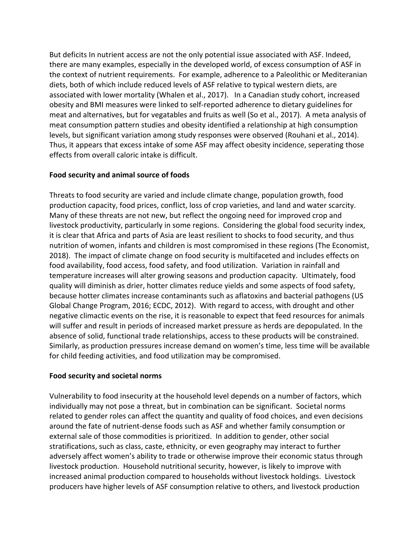But deficits In nutrient access are not the only potential issue associated with ASF. Indeed, there are many examples, especially in the developed world, of excess consumption of ASF in the context of nutrient requirements. For example, adherence to a Paleolithic or Mediteranian diets, both of which include reduced levels of ASF relative to typical western diets, are associated with lower mortality (Whalen et al., 2017). In a Canadian study cohort, increased obesity and BMI measures were linked to self-reported adherence to dietary guidelines for meat and alternatives, but for vegatables and fruits as well (So et al., 2017). A meta analysis of meat consumption pattern studies and obesity identified a relationship at high consumption levels, but significant variation among study responses were observed (Rouhani et al., 2014). Thus, it appears that excess intake of some ASF may affect obesity incidence, seperating those effects from overall caloric intake is difficult.

## **Food security and animal source of foods**

Threats to food security are varied and include climate change, population growth, food production capacity, food prices, conflict, loss of crop varieties, and land and water scarcity. Many of these threats are not new, but reflect the ongoing need for improved crop and livestock productivity, particularly in some regions. Considering the global food security index, it is clear that Africa and parts of Asia are least resilient to shocks to food security, and thus nutrition of women, infants and children is most compromised in these regions (The Economist, 2018). The impact of climate change on food security is multifaceted and includes effects on food availability, food access, food safety, and food utilization. Variation in rainfall and temperature increases will alter growing seasons and production capacity. Ultimately, food quality will diminish as drier, hotter climates reduce yields and some aspects of food safety, because hotter climates increase contaminants such as aflatoxins and bacterial pathogens (US Global Change Program, 2016; ECDC, 2012). With regard to access, with drought and other negative climactic events on the rise, it is reasonable to expect that feed resources for animals will suffer and result in periods of increased market pressure as herds are depopulated. In the absence of solid, functional trade relationships, access to these products will be constrained. Similarly, as production pressures increase demand on women's time, less time will be available for child feeding activities, and food utilization may be compromised.

#### **Food security and societal norms**

Vulnerability to food insecurity at the household level depends on a number of factors, which individually may not pose a threat, but in combination can be significant. Societal norms related to gender roles can affect the quantity and quality of food choices, and even decisions around the fate of nutrient-dense foods such as ASF and whether family consumption or external sale of those commodities is prioritized. In addition to gender, other social stratifications, such as class, caste, ethnicity, or even geography may interact to further adversely affect women's ability to trade or otherwise improve their economic status through livestock production. Household nutritional security, however, is likely to improve with increased animal production compared to households without livestock holdings. Livestock producers have higher levels of ASF consumption relative to others, and livestock production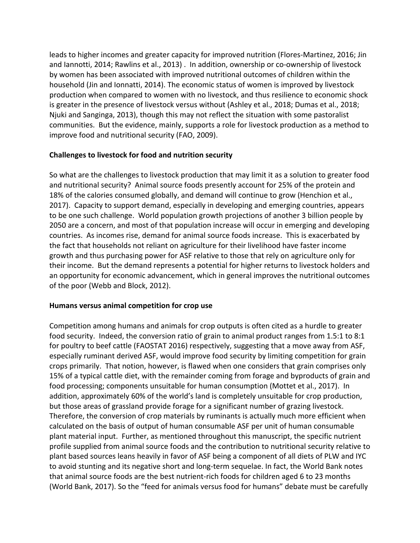leads to higher incomes and greater capacity for improved nutrition (Flores-Martinez, 2016; Jin and lannotti, 2014; Rawlins et al., 2013). In addition, ownership or co-ownership of livestock by women has been associated with improved nutritional outcomes of children within the household (Jin and Ionnatti, 2014). The economic status of women is improved by livestock production when compared to women with no livestock, and thus resilience to economic shock is greater in the presence of livestock versus without (Ashley et al., 2018; Dumas et al., 2018; Njuki and Sanginga, 2013), though this may not reflect the situation with some pastoralist communities. But the evidence, mainly, supports a role for livestock production as a method to improve food and nutritional security (FAO, 2009).

## **Challenges to livestock for food and nutrition security**

So what are the challenges to livestock production that may limit it as a solution to greater food and nutritional security? Animal source foods presently account for 25% of the protein and 18% of the calories consumed globally, and demand will continue to grow (Henchion et al., 2017). Capacity to support demand, especially in developing and emerging countries, appears to be one such challenge. World population growth projections of another 3 billion people by 2050 are a concern, and most of that population increase will occur in emerging and developing countries. As incomes rise, demand for animal source foods increase. This is exacerbated by the fact that households not reliant on agriculture for their livelihood have faster income growth and thus purchasing power for ASF relative to those that rely on agriculture only for their income. But the demand represents a potential for higher returns to livestock holders and an opportunity for economic advancement, which in general improves the nutritional outcomes of the poor (Webb and Block, 2012).

#### Humans versus animal competition for crop use

Competition among humans and animals for crop outputs is often cited as a hurdle to greater food security. Indeed, the conversion ratio of grain to animal product ranges from 1.5:1 to 8:1 for poultry to beef cattle (FAOSTAT 2016) respectively, suggesting that a move away from ASF, especially ruminant derived ASF, would improve food security by limiting competition for grain crops primarily. That notion, however, is flawed when one considers that grain comprises only 15% of a typical cattle diet, with the remainder coming from forage and byproducts of grain and food processing; components unsuitable for human consumption (Mottet et al., 2017). In addition, approximately 60% of the world's land is completely unsuitable for crop production, but those areas of grassland provide forage for a significant number of grazing livestock. Therefore, the conversion of crop materials by ruminants is actually much more efficient when calculated on the basis of output of human consumable ASF per unit of human consumable plant material input. Further, as mentioned throughout this manuscript, the specific nutrient profile supplied from animal source foods and the contribution to nutritional security relative to plant based sources leans heavily in favor of ASF being a component of all diets of PLW and IYC to avoid stunting and its negative short and long-term sequelae. In fact, the World Bank notes that animal source foods are the best nutrient-rich foods for children aged 6 to 23 months (World Bank, 2017). So the "feed for animals versus food for humans" debate must be carefully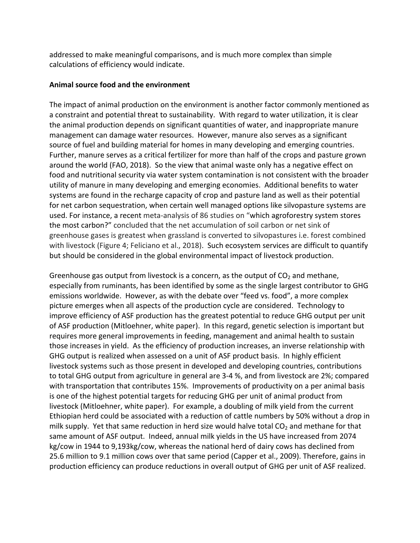addressed to make meaningful comparisons, and is much more complex than simple calculations of efficiency would indicate.

#### **Animal source food and the environment**

The impact of animal production on the environment is another factor commonly mentioned as a constraint and potential threat to sustainability. With regard to water utilization, it is clear the animal production depends on significant quantities of water, and inappropriate manure management can damage water resources. However, manure also serves as a significant source of fuel and building material for homes in many developing and emerging countries. Further, manure serves as a critical fertilizer for more than half of the crops and pasture grown around the world (FAO, 2018). So the view that animal waste only has a negative effect on food and nutritional security via water system contamination is not consistent with the broader utility of manure in many developing and emerging economies. Additional benefits to water systems are found in the recharge capacity of crop and pasture land as well as their potential for net carbon sequestration, when certain well managed options like silvopasture systems are used. For instance, a recent meta-analysis of 86 studies on "which agroforestry system stores the most carbon?" concluded that the net accumulation of soil carbon or net sink of greenhouse gases is greatest when grassland is converted to silvopastures i.e. forest combined with livestock (Figure 4; Feliciano et al., 2018). Such ecosystem services are difficult to quantify but should be considered in the global environmental impact of livestock production.

Greenhouse gas output from livestock is a concern, as the output of  $CO<sub>2</sub>$  and methane, especially from ruminants, has been identified by some as the single largest contributor to GHG emissions worldwide. However, as with the debate over "feed vs. food", a more complex picture emerges when all aspects of the production cycle are considered. Technology to improve efficiency of ASF production has the greatest potential to reduce GHG output per unit of ASF production (Mitloehner, white paper). In this regard, genetic selection is important but requires more general improvements in feeding, management and animal health to sustain those increases in yield. As the efficiency of production increases, an inverse relationship with GHG output is realized when assessed on a unit of ASF product basis. In highly efficient livestock systems such as those present in developed and developing countries, contributions to total GHG output from agriculture in general are 3-4 %, and from livestock are 2%; compared with transportation that contributes 15%. Improvements of productivity on a per animal basis is one of the highest potential targets for reducing GHG per unit of animal product from livestock (Mitloehner, white paper). For example, a doubling of milk yield from the current Ethiopian herd could be associated with a reduction of cattle numbers by 50% without a drop in milk supply. Yet that same reduction in herd size would halve total  $CO<sub>2</sub>$  and methane for that same amount of ASF output. Indeed, annual milk yields in the US have increased from 2074 kg/cow in 1944 to 9,193kg/cow, whereas the national herd of dairy cows has declined from 25.6 million to 9.1 million cows over that same period (Capper et al., 2009). Therefore, gains in production efficiency can produce reductions in overall output of GHG per unit of ASF realized.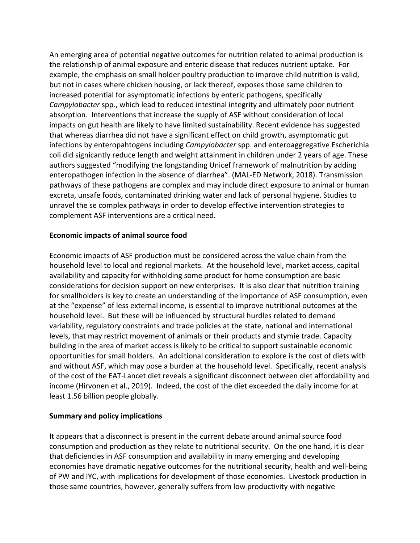An emerging area of potential negative outcomes for nutrition related to animal production is the relationship of animal exposure and enteric disease that reduces nutrient uptake. For example, the emphasis on small holder poultry production to improve child nutrition is valid, but not in cases where chicken housing, or lack thereof, exposes those same children to increased potential for asymptomatic infections by enteric pathogens, specifically *Campylobacter* spp., which lead to reduced intestinal integrity and ultimately poor nutrient absorption. Interventions that increase the supply of ASF without consideration of local impacts on gut health are likely to have limited sustainability. Recent evidence has suggested that whereas diarrhea did not have a significant effect on child growth, asymptomatic gut infections by enteropahtogens including *Campylobacter* spp. and enteroaggregative Escherichia coli did signicantly reduce length and weight attainment in children under 2 years of age. These authors suggested "modifying the longstanding Unicef framework of malnutrition by adding enteropathogen infection in the absence of diarrhea". (MAL-ED Network, 2018). Transmission pathways of these pathogens are complex and may include direct exposure to animal or human excreta, unsafe foods, contaminated drinking water and lack of personal hygiene. Studies to unravel the se complex pathways in order to develop effective intervention strategies to complement ASF interventions are a critical need.

## **Economic impacts of animal source food**

Economic impacts of ASF production must be considered across the value chain from the household level to local and regional markets. At the household level, market access, capital availability and capacity for withholding some product for home consumption are basic considerations for decision support on new enterprises. It is also clear that nutrition training for smallholders is key to create an understanding of the importance of ASF consumption, even at the "expense" of less external income, is essential to improve nutritional outcomes at the household level. But these will be influenced by structural hurdles related to demand variability, regulatory constraints and trade policies at the state, national and international levels, that may restrict movement of animals or their products and stymie trade. Capacity building in the area of market access is likely to be critical to support sustainable economic opportunities for small holders. An additional consideration to explore is the cost of diets with and without ASF, which may pose a burden at the household level. Specifically, recent analysis of the cost of the EAT-Lancet diet reveals a significant disconnect between diet affordability and income (Hirvonen et al., 2019). Indeed, the cost of the diet exceeded the daily income for at least 1.56 billion people globally.

#### **Summary and policy implications**

It appears that a disconnect is present in the current debate around animal source food consumption and production as they relate to nutritional security. On the one hand, it is clear that deficiencies in ASF consumption and availability in many emerging and developing economies have dramatic negative outcomes for the nutritional security, health and well-being of PW and IYC, with implications for development of those economies. Livestock production in those same countries, however, generally suffers from low productivity with negative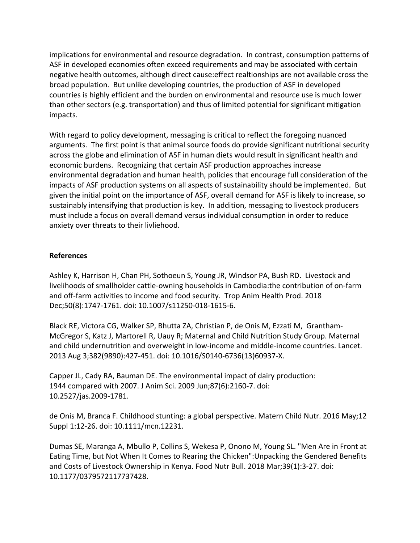implications for environmental and resource degradation. In contrast, consumption patterns of ASF in developed economies often exceed requirements and may be associated with certain negative health outcomes, although direct cause: effect realtionships are not available cross the broad population. But unlike developing countries, the production of ASF in developed countries is highly efficient and the burden on environmental and resource use is much lower than other sectors (e.g. transportation) and thus of limited potential for significant mitigation impacts.

With regard to policy development, messaging is critical to reflect the foregoing nuanced arguments. The first point is that animal source foods do provide significant nutritional security across the globe and elimination of ASF in human diets would result in significant health and economic burdens. Recognizing that certain ASF production approaches increase environmental degradation and human health, policies that encourage full consideration of the impacts of ASF production systems on all aspects of sustainability should be implemented. But given the initial point on the importance of ASF, overall demand for ASF is likely to increase, so sustainably intensifying that production is key. In addition, messaging to livestock producers must include a focus on overall demand versus individual consumption in order to reduce anxiety over threats to their livliehood.

## **References**

Ashley K, Harrison H, Chan PH, Sothoeun S, Young JR, Windsor PA, Bush RD. Livestock and livelihoods of smallholder cattle-owning households in Cambodia:the contribution of on-farm and off-farm activities to income and food security. Trop Anim Health Prod. 2018 Dec;50(8):1747-1761. doi: 10.1007/s11250-018-1615-6.

Black RE, Victora CG, Walker SP, Bhutta ZA, Christian P, de Onis M, Ezzati M, Grantham-McGregor S, Katz J, Martorell R, Uauy R; Maternal and Child Nutrition Study Group. Maternal and child undernutrition and overweight in low-income and middle-income countries. Lancet. 2013 Aug 3;382(9890):427-451. doi: 10.1016/S0140-6736(13)60937-X.

Capper JL, Cady RA, Bauman DE. The environmental impact of dairy production: 1944 compared with 2007. J Anim Sci. 2009 Jun;87(6):2160-7. doi: 10.2527/jas.2009-1781.

de Onis M, Branca F. Childhood stunting: a global perspective. Matern Child Nutr. 2016 May;12 Suppl 1:12-26. doi: 10.1111/mcn.12231.

Dumas SE, Maranga A, Mbullo P, Collins S, Wekesa P, Onono M, Young SL. "Men Are in Front at Eating Time, but Not When It Comes to Rearing the Chicken": Unpacking the Gendered Benefits and Costs of Livestock Ownership in Kenya. Food Nutr Bull. 2018 Mar;39(1):3-27. doi: 10.1177/0379572117737428.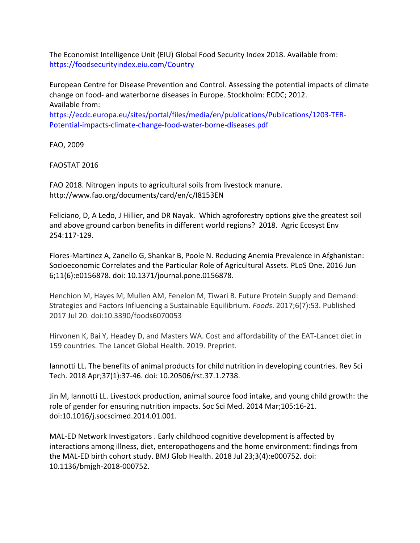The Economist Intelligence Unit (EIU) Global Food Security Index 2018. Available from: https://foodsecurityindex.eiu.com/Country

European Centre for Disease Prevention and Control. Assessing the potential impacts of climate change on food- and waterborne diseases in Europe. Stockholm: ECDC; 2012. Available from:

https://ecdc.europa.eu/sites/portal/files/media/en/publications/Publications/1203-TER-Potential-impacts-climate-change-food-water-borne-diseases.pdf

FAO, 2009 

FAOSTAT 2016

FAO 2018. Nitrogen inputs to agricultural soils from livestock manure. http://www.fao.org/documents/card/en/c/I8153EN

Feliciano, D, A Ledo, J Hillier, and DR Nayak. Which agroforestry options give the greatest soil and above ground carbon benefits in different world regions? 2018. Agric Ecosyst Env 254:117-129.

Flores-Martinez A, Zanello G, Shankar B, Poole N. Reducing Anemia Prevalence in Afghanistan: Socioeconomic Correlates and the Particular Role of Agricultural Assets. PLoS One. 2016 Jun 6;11(6):e0156878. doi: 10.1371/journal.pone.0156878.

Henchion M, Hayes M, Mullen AM, Fenelon M, Tiwari B. Future Protein Supply and Demand: Strategies and Factors Influencing a Sustainable Equilibrium. *Foods*. 2017;6(7):53. Published 2017 Jul 20. doi:10.3390/foods6070053

Hirvonen K, Bai Y, Headey D, and Masters WA. Cost and affordability of the EAT-Lancet diet in 159 countries. The Lancet Global Health. 2019. Preprint.

lannotti LL. The benefits of animal products for child nutrition in developing countries. Rev Sci Tech. 2018 Apr;37(1):37-46. doi: 10.20506/rst.37.1.2738.

Jin M, Iannotti LL. Livestock production, animal source food intake, and young child growth: the role of gender for ensuring nutrition impacts. Soc Sci Med. 2014 Mar;105:16-21. doi:10.1016/j.socscimed.2014.01.001.

MAL-ED Network Investigators . Early childhood cognitive development is affected by interactions among illness, diet, enteropathogens and the home environment: findings from the MAL-ED birth cohort study. BMJ Glob Health. 2018 Jul 23;3(4):e000752. doi: 10.1136/bmjgh-2018-000752.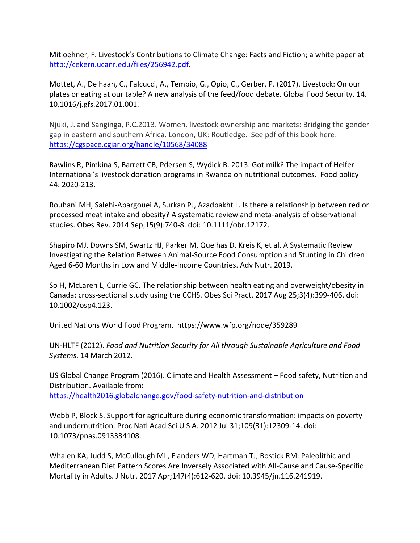Mitloehner, F. Livestock's Contributions to Climate Change: Facts and Fiction; a white paper at http://cekern.ucanr.edu/files/256942.pdf.

Mottet, A., De haan, C., Falcucci, A., Tempio, G., Opio, C., Gerber, P. (2017). Livestock: On our plates or eating at our table? A new analysis of the feed/food debate. Global Food Security. 14. 10.1016/j.gfs.2017.01.001.

Njuki, J. and Sanginga, P.C.2013. Women, livestock ownership and markets: Bridging the gender gap in eastern and southern Africa. London, UK: Routledge. See pdf of this book here: https://cgspace.cgiar.org/handle/10568/34088

Rawlins R, Pimkina S, Barrett CB, Pdersen S, Wydick B. 2013. Got milk? The impact of Heifer International's livestock donation programs in Rwanda on nutritional outcomes. Food policy 44: 2020-213.

Rouhani MH, Salehi-Abargouei A, Surkan PJ, Azadbakht L. Is there a relationship between red or processed meat intake and obesity? A systematic review and meta-analysis of observational studies. Obes Rev. 2014 Sep;15(9):740-8. doi: 10.1111/obr.12172.

Shapiro MJ, Downs SM, Swartz HJ, Parker M, Quelhas D, Kreis K, et al. A Systematic Review Investigating the Relation Between Animal-Source Food Consumption and Stunting in Children Aged 6-60 Months in Low and Middle-Income Countries. Adv Nutr. 2019.

So H, McLaren L, Currie GC. The relationship between health eating and overweight/obesity in Canada: cross-sectional study using the CCHS. Obes Sci Pract. 2017 Aug 25;3(4):399-406. doi: 10.1002/osp4.123.

United Nations World Food Program. https://www.wfp.org/node/359289

UN-HLTF (2012). *Food and Nutrition Security for All through Sustainable Agriculture and Food Systems*. 14 March 2012.

US Global Change Program (2016). Climate and Health Assessment – Food safety, Nutrition and Distribution. Available from: https://health2016.globalchange.gov/food-safety-nutrition-and-distribution

Webb P, Block S. Support for agriculture during economic transformation: impacts on poverty and undernutrition. Proc Natl Acad Sci U S A. 2012 Jul 31;109(31):12309-14. doi: 10.1073/pnas.0913334108.

Whalen KA, Judd S, McCullough ML, Flanders WD, Hartman TJ, Bostick RM. Paleolithic and Mediterranean Diet Pattern Scores Are Inversely Associated with All-Cause and Cause-Specific Mortality in Adults. J Nutr. 2017 Apr;147(4):612-620. doi: 10.3945/jn.116.241919.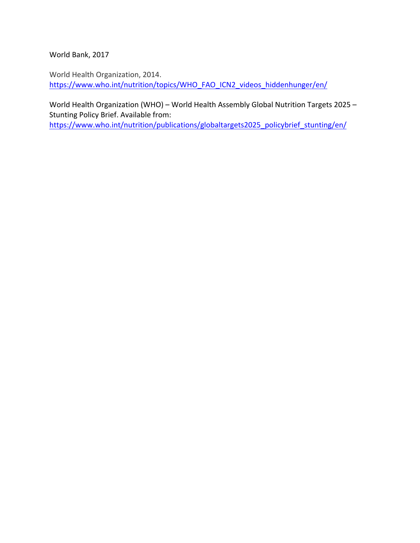World Bank, 2017

World Health Organization, 2014. https://www.who.int/nutrition/topics/WHO\_FAO\_ICN2\_videos\_hiddenhunger/en/

World Health Organization (WHO) – World Health Assembly Global Nutrition Targets 2025 – Stunting Policy Brief. Available from:

https://www.who.int/nutrition/publications/globaltargets2025\_policybrief\_stunting/en/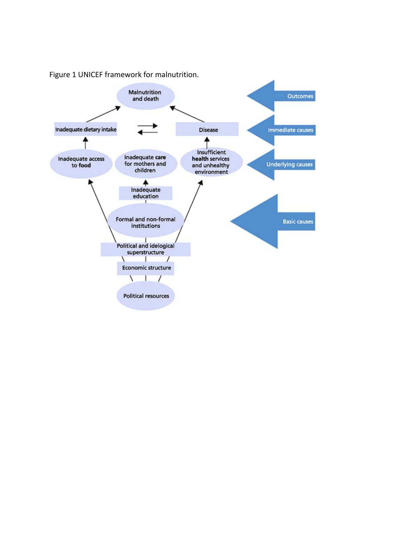

Figure 1 UNICEF framework for malnutrition.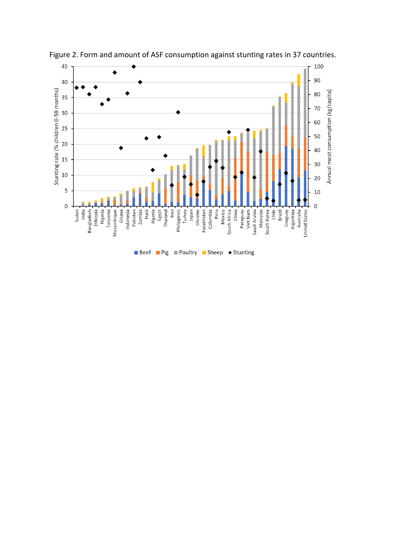

Beef Pig Poultry Sheep Stunting

Figure 2. Form and amount of ASF consumption against stunting rates in 37 countries.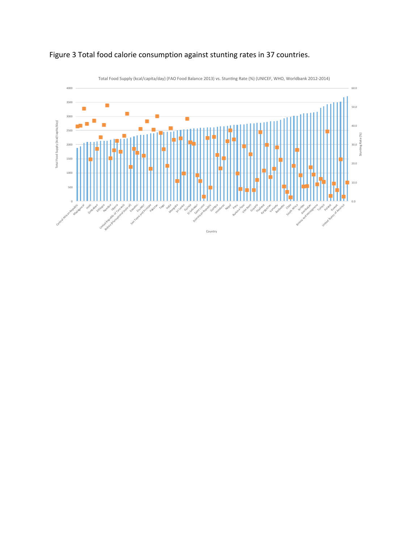

# Figure 3 Total food calorie consumption against stunting rates in 37 countries.